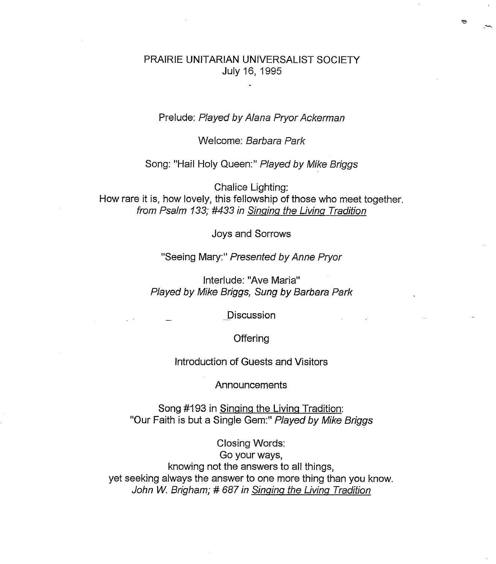## PRAIRIE UNITARIAN UNIVERSALIST SOCIETY July 16, 1995

ę.

## Prelude: *Played by Alana Pryor Ackerman*

Welcome: *Barbara Park* 

Song: "Hail Holy Queen:" *Played by Mike Briggs* 

Chalice Lighting: How rare it is, how lovely, this fellowship of those who meet together. *from Psalm 133; #433 in Singing the Living Tradition* 

Joys and Sorrows

"Seeing Mary:" *Presented by Anne Pryor* 

Interlude: "Ave Maria" *Played by Mike Briggs, Sung by Barbara Park* 

**Discussion** 

**Offering** 

Introduction of Guests and Visitors

Announcements

Song #193 in Singing the Living Tradition: "Our Faith is but a Single Gem:" *Played by Mike Briggs* 

Closing Words: Go your ways, knowing not the answers to all things, yet seeking always the answer to one more thing than you know. *John W. Brigham;* # *687 in Singing the Living Tradition*